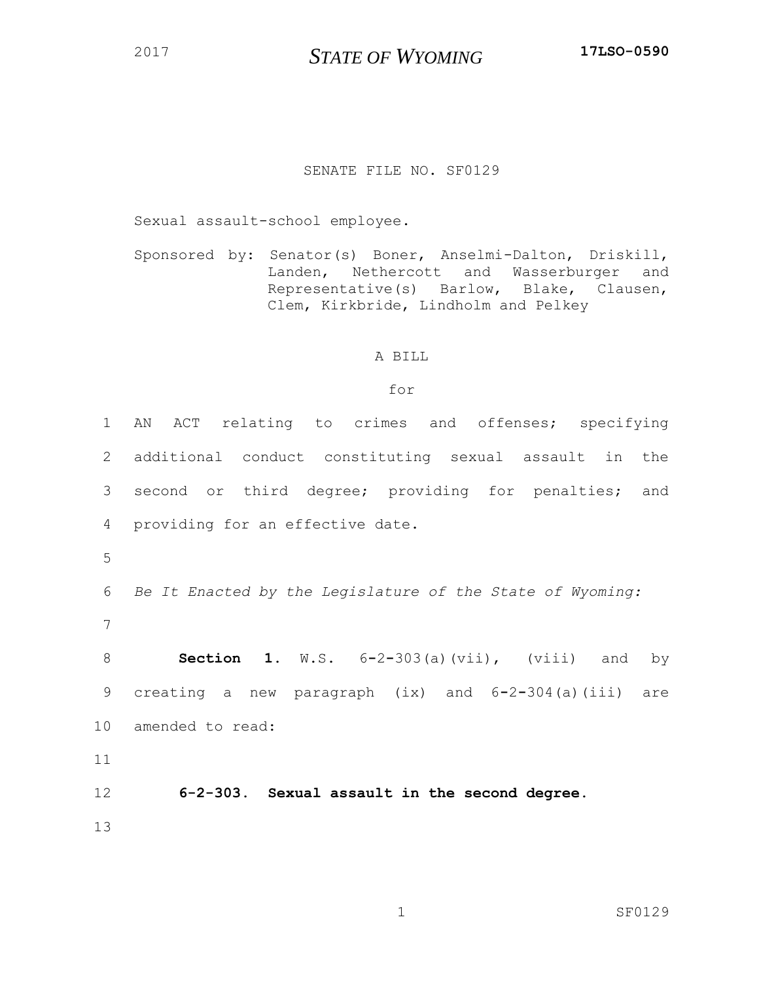*STATE OF WYOMING* **17LSO-0590**

## SENATE FILE NO. SF0129

Sexual assault-school employee.

Sponsored by: Senator(s) Boner, Anselmi-Dalton, Driskill, Landen, Nethercott and Wasserburger and Representative(s) Barlow, Blake, Clausen, Clem, Kirkbride, Lindholm and Pelkey

## A BILL

## for

| 1               | AN ACT relating to crimes and offenses; specifying         |
|-----------------|------------------------------------------------------------|
| 2               | additional conduct constituting sexual assault in the      |
| 3               | second or third degree; providing for penalties; and       |
| 4               | providing for an effective date.                           |
| 5               |                                                            |
| 6               | Be It Enacted by the Legislature of the State of Wyoming:  |
| 7               |                                                            |
| 8               | <b>Section 1.</b> W.S. $6-2-303(a)$ (vii), (viii) and by   |
| 9               | creating a new paragraph $(ix)$ and $6-2-304(a)$ (iii) are |
| 10 <sub>o</sub> | amended to read:                                           |
| 11              |                                                            |
| 12              | 6-2-303. Sexual assault in the second degree.              |
| 13              |                                                            |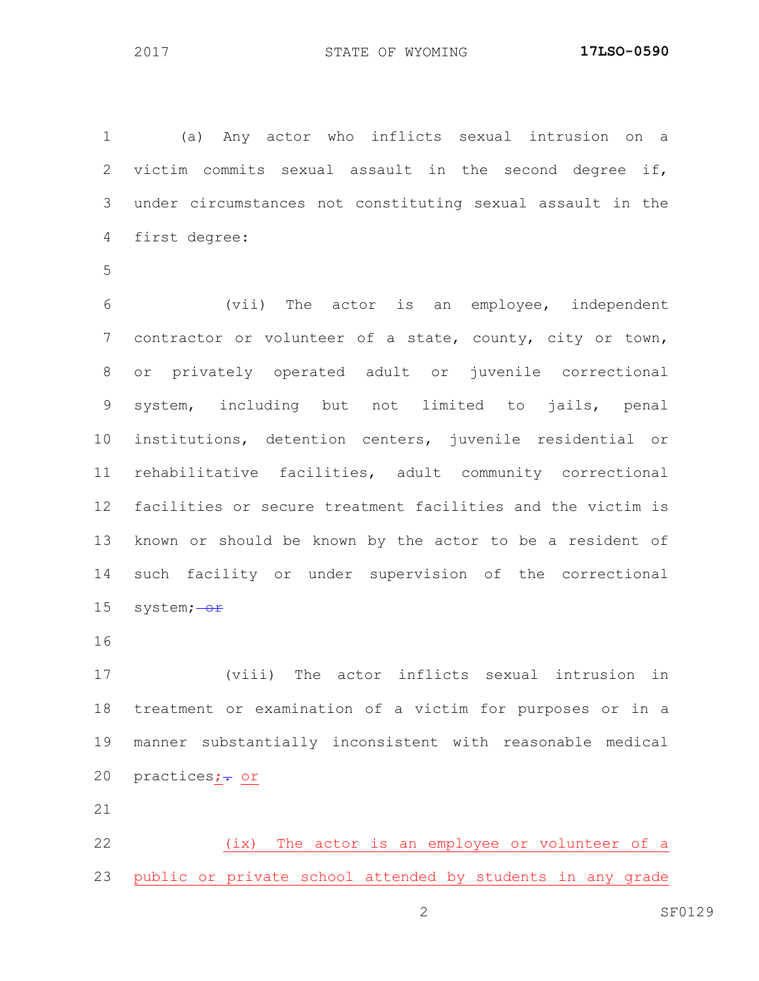(a) Any actor who inflicts sexual intrusion on a victim commits sexual assault in the second degree if, under circumstances not constituting sexual assault in the first degree:

 (vii) The actor is an employee, independent contractor or volunteer of a state, county, city or town, or privately operated adult or juvenile correctional system, including but not limited to jails, penal institutions, detention centers, juvenile residential or rehabilitative facilities, adult community correctional facilities or secure treatment facilities and the victim is known or should be known by the actor to be a resident of such facility or under supervision of the correctional 15 system; $-\sigma$ r

 (viii) The actor inflicts sexual intrusion in treatment or examination of a victim for purposes or in a manner substantially inconsistent with reasonable medical 20 practices; - or

 (ix) The actor is an employee or volunteer of a public or private school attended by students in any grade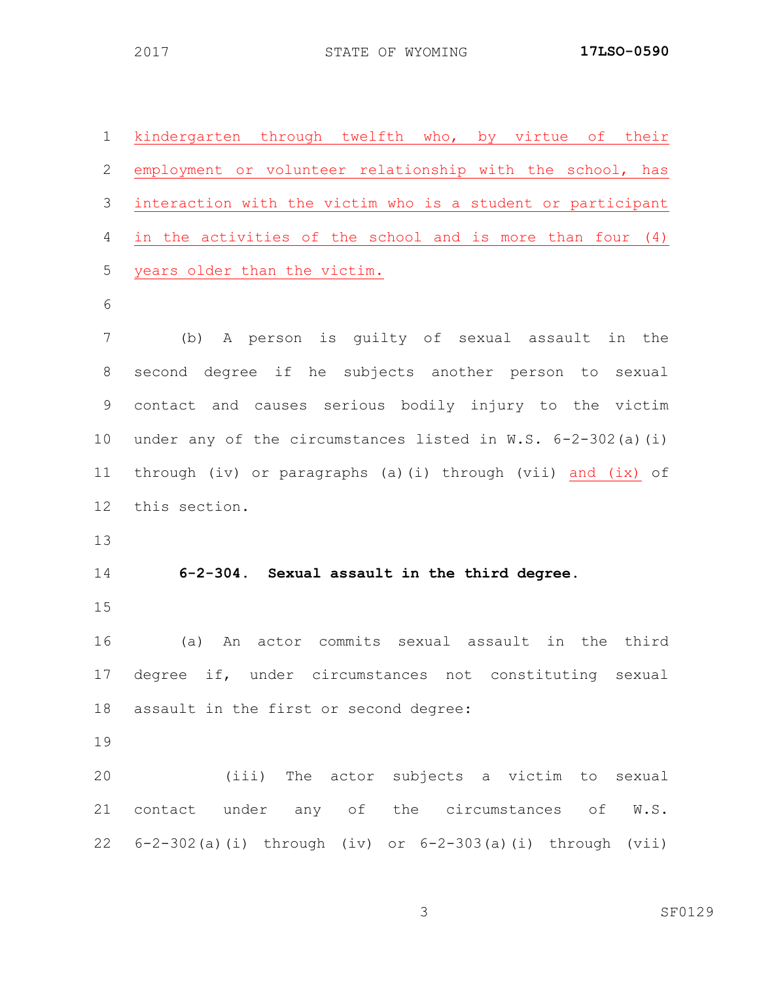| $\mathbf 1$ | kindergarten through twelfth who, by virtue of their         |
|-------------|--------------------------------------------------------------|
| 2           | employment or volunteer relationship with the school, has    |
| 3           | interaction with the victim who is a student or participant  |
| 4           | in the activities of the school and is more than four (4)    |
| 5           | years older than the victim.                                 |
| 6           |                                                              |
| 7           | (b) A person is guilty of sexual assault in the              |
| 8           | second degree if he subjects another person to sexual        |
| 9           | contact and causes serious bodily injury to the victim       |
| 10          | under any of the circumstances listed in W.S. 6-2-302(a)(i)  |
| 11          | through (iv) or paragraphs (a)(i) through (vii) and (ix) of  |
| 12          | this section.                                                |
| 13          |                                                              |
| 14          | 6-2-304. Sexual assault in the third degree.                 |
| 15          |                                                              |
| 16          | (a) An actor commits sexual assault in the third             |
|             | 17 degree if, under circumstances not constituting sexual    |
|             | 18 assault in the first or second degree:                    |
| 19          |                                                              |
| 20          | (iii) The actor subjects a victim to sexual                  |
| 21          | contact under any of the circumstances of W.S.               |
|             | 22 6-2-302(a)(i) through (iv) or 6-2-303(a)(i) through (vii) |